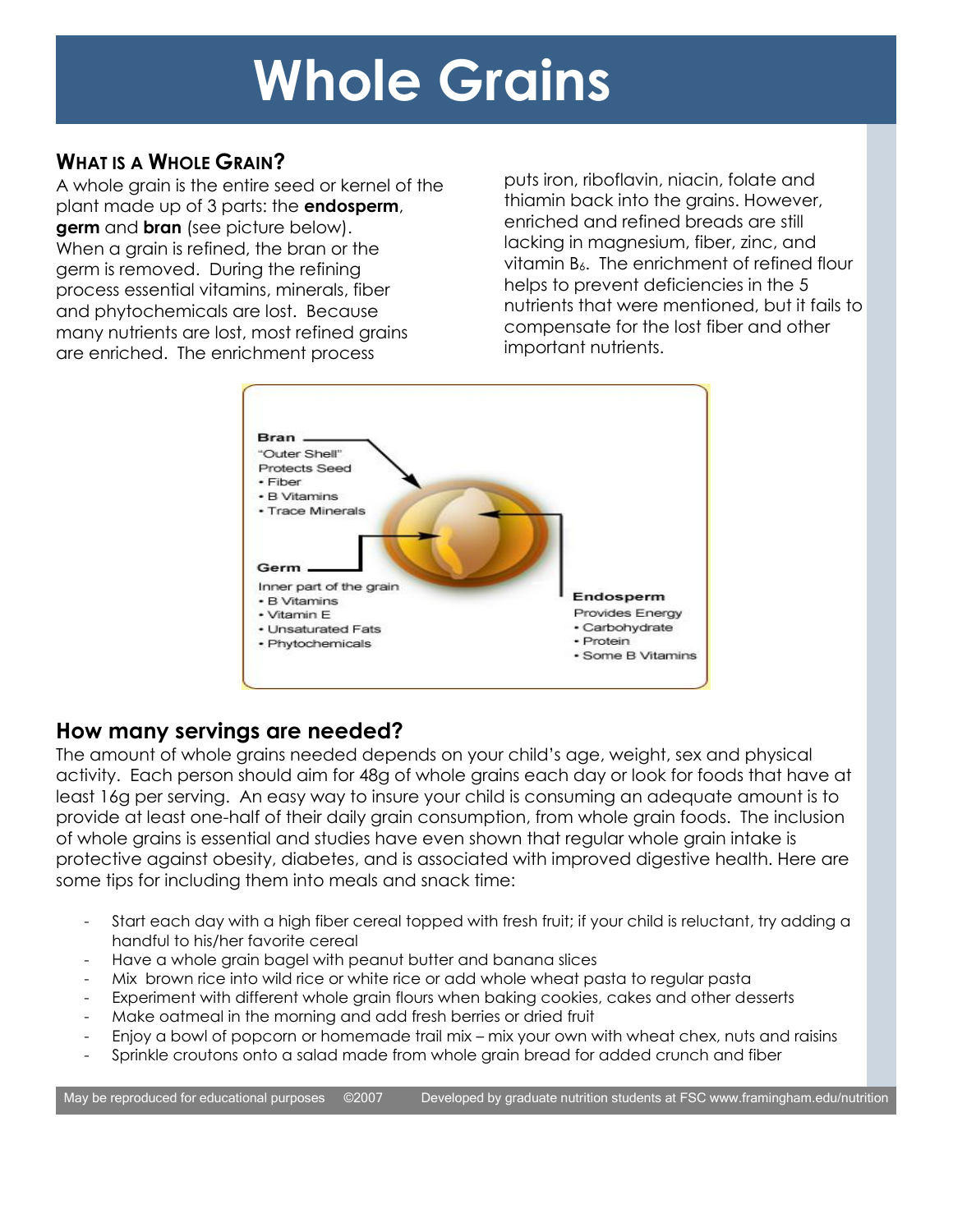# **Whole Grains**

### **WHAT IS A WHOLE GRAIN?**

A whole grain is the entire seed or kernel of the plant made up of 3 parts: the **endosperm**, **germ** and **bran** (see picture below). When a grain is refined, the bran or the germ is removed. During the refining process essential vitamins, minerals, fiber and phytochemicals are lost. Because many nutrients are lost, most refined grains are enriched. The enrichment process

puts iron, riboflavin, niacin, folate and thiamin back into the grains. However, enriched and refined breads are still lacking in magnesium, fiber, zinc, and vitamin  $B_6$ . The enrichment of refined flour helps to prevent deficiencies in the 5 nutrients that were mentioned, but it fails to compensate for the lost fiber and other important nutrients.



## **How many servings are needed?**

The amount of whole grains needed depends on your child's age, weight, sex and physical activity. Each person should aim for 48g of whole grains each day or look for foods that have at least 16g per serving. An easy way to insure your child is consuming an adequate amount is to provide at least one-half of their daily grain consumption, from whole grain foods. The inclusion of whole grains is essential and studies have even shown that regular whole grain intake is protective against obesity, diabetes, and is associated with improved digestive health. Here are some tips for including them into meals and snack time:

- Start each day with a high fiber cereal topped with fresh fruit; if your child is reluctant, try adding a handful to his/her favorite cereal
- Have a whole grain bagel with peanut butter and banana slices
- Mix brown rice into wild rice or white rice or add whole wheat pasta to regular pasta
- Experiment with different whole grain flours when baking cookies, cakes and other desserts
- Make oatmeal in the morning and add fresh berries or dried fruit
- Enjoy a bowl of popcorn or homemade trail mix mix your own with wheat chex, nuts and raisins
- Sprinkle croutons onto a salad made from whole grain bread for added crunch and fiber

May be reproduced for educational purposes ©2007 Developed by graduate nutrition students at FSC www.framingham.edu/nutrition